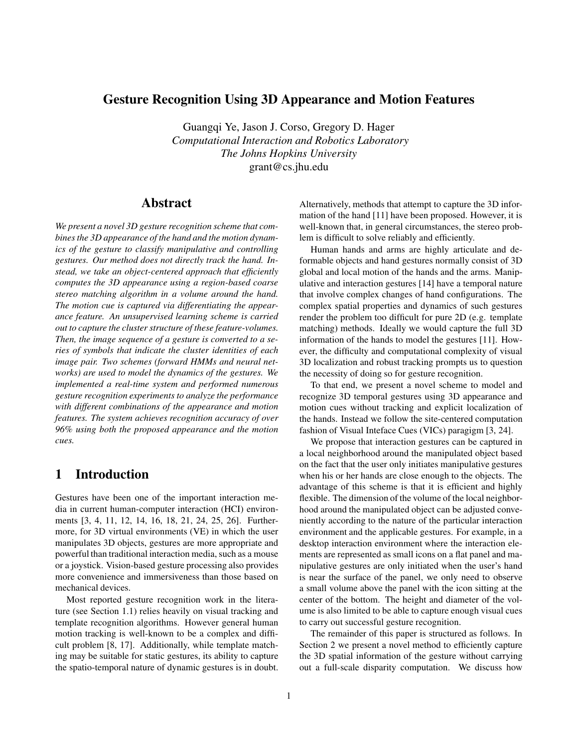### **Gesture Recognition Using 3D Appearance and Motion Features**

Guangqi Ye, Jason J. Corso, Gregory D. Hager *Computational Interaction and Robotics Laboratory The Johns Hopkins University* grant@cs.jhu.edu

### **Abstract**

*We present a novel 3D gesture recognition scheme that combines the 3D appearance of the hand and the motion dynamics of the gesture to classify manipulative and controlling gestures. Our method does not directly track the hand. Instead, we take an object-centered approach that efficiently computes the 3D appearance using a region-based coarse stereo matching algorithm in a volume around the hand. The motion cue is captured via differentiating the appearance feature. An unsupervised learning scheme is carried out to capture the cluster structure of these feature-volumes. Then, the image sequence of a gesture is converted to a series of symbols that indicate the cluster identities of each image pair. Two schemes (forward HMMs and neural networks) are used to model the dynamics of the gestures. We implemented a real-time system and performed numerous gesture recognition experiments to analyze the performance with different combinations of the appearance and motion features. The system achieves recognition accuracy of over 96% using both the proposed appearance and the motion cues.*

# **1 Introduction**

Gestures have been one of the important interaction media in current human-computer interaction (HCI) environments [3, 4, 11, 12, 14, 16, 18, 21, 24, 25, 26]. Furthermore, for 3D virtual environments (VE) in which the user manipulates 3D objects, gestures are more appropriate and powerful than traditional interaction media, such as a mouse or a joystick. Vision-based gesture processing also provides more convenience and immersiveness than those based on mechanical devices.

Most reported gesture recognition work in the literature (see Section 1.1) relies heavily on visual tracking and template recognition algorithms. However general human motion tracking is well-known to be a complex and difficult problem [8, 17]. Additionally, while template matching may be suitable for static gestures, its ability to capture the spatio-temporal nature of dynamic gestures is in doubt.

Alternatively, methods that attempt to capture the 3D information of the hand [11] have been proposed. However, it is well-known that, in general circumstances, the stereo problem is difficult to solve reliably and efficiently.

Human hands and arms are highly articulate and deformable objects and hand gestures normally consist of 3D global and local motion of the hands and the arms. Manipulative and interaction gestures [14] have a temporal nature that involve complex changes of hand configurations. The complex spatial properties and dynamics of such gestures render the problem too difficult for pure 2D (e.g. template matching) methods. Ideally we would capture the full 3D information of the hands to model the gestures [11]. However, the difficulty and computational complexity of visual 3D localization and robust tracking prompts us to question the necessity of doing so for gesture recognition.

To that end, we present a novel scheme to model and recognize 3D temporal gestures using 3D appearance and motion cues without tracking and explicit localization of the hands. Instead we follow the site-centered computation fashion of Visual Inteface Cues (VICs) paragigm [3, 24].

We propose that interaction gestures can be captured in a local neighborhood around the manipulated object based on the fact that the user only initiates manipulative gestures when his or her hands are close enough to the objects. The advantage of this scheme is that it is efficient and highly flexible. The dimension of the volume of the local neighborhood around the manipulated object can be adjusted conveniently according to the nature of the particular interaction environment and the applicable gestures. For example, in a desktop interaction environment where the interaction elements are represented as small icons on a flat panel and manipulative gestures are only initiated when the user's hand is near the surface of the panel, we only need to observe a small volume above the panel with the icon sitting at the center of the bottom. The height and diameter of the volume is also limited to be able to capture enough visual cues to carry out successful gesture recognition.

The remainder of this paper is structured as follows. In Section 2 we present a novel method to efficiently capture the 3D spatial information of the gesture without carrying out a full-scale disparity computation. We discuss how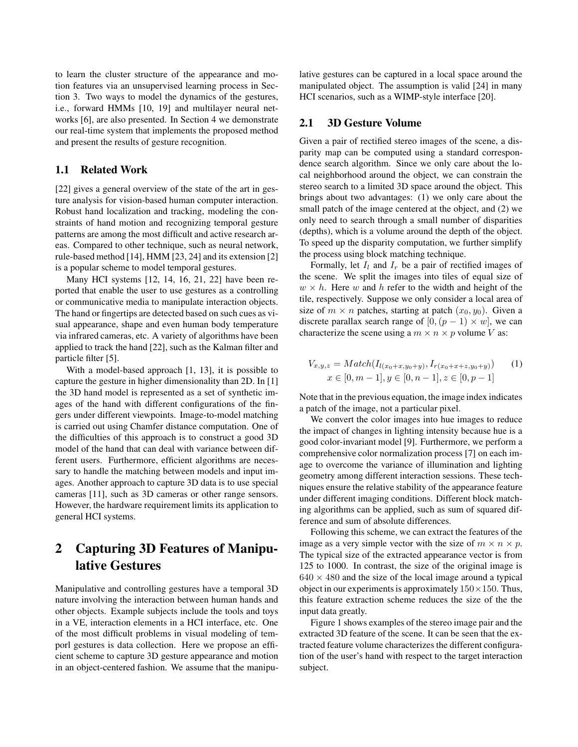to learn the cluster structure of the appearance and motion features via an unsupervised learning process in Section 3. Two ways to model the dynamics of the gestures, i.e., forward HMMs [10, 19] and multilayer neural networks [6], are also presented. In Section 4 we demonstrate our real-time system that implements the proposed method and present the results of gesture recognition.

#### **1.1 Related Work**

[22] gives a general overview of the state of the art in gesture analysis for vision-based human computer interaction. Robust hand localization and tracking, modeling the constraints of hand motion and recognizing temporal gesture patterns are among the most difficult and active research areas. Compared to other technique, such as neural network, rule-based method [14], HMM [23, 24] and its extension [2] is a popular scheme to model temporal gestures.

Many HCI systems [12, 14, 16, 21, 22] have been reported that enable the user to use gestures as a controlling or communicative media to manipulate interaction objects. The hand or fingertips are detected based on such cues as visual appearance, shape and even human body temperature via infrared cameras, etc. A variety of algorithms have been applied to track the hand [22], such as the Kalman filter and particle filter [5].

With a model-based approach [1, 13], it is possible to capture the gesture in higher dimensionality than 2D. In [1] the 3D hand model is represented as a set of synthetic images of the hand with different configurations of the fingers under different viewpoints. Image-to-model matching is carried out using Chamfer distance computation. One of the difficulties of this approach is to construct a good 3D model of the hand that can deal with variance between different users. Furthermore, efficient algorithms are necessary to handle the matching between models and input images. Another approach to capture 3D data is to use special cameras [11], such as 3D cameras or other range sensors. However, the hardware requirement limits its application to general HCI systems.

# **2 Capturing 3D Features of Manipulative Gestures**

Manipulative and controlling gestures have a temporal 3D nature involving the interaction between human hands and other objects. Example subjects include the tools and toys in a VE, interaction elements in a HCI interface, etc. One of the most difficult problems in visual modeling of temporl gestures is data collection. Here we propose an efficient scheme to capture 3D gesture appearance and motion in an object-centered fashion. We assume that the manipulative gestures can be captured in a local space around the manipulated object. The assumption is valid [24] in many HCI scenarios, such as a WIMP-style interface [20].

#### **2.1 3D Gesture Volume**

Given a pair of rectified stereo images of the scene, a disparity map can be computed using a standard correspondence search algorithm. Since we only care about the local neighborhood around the object, we can constrain the stereo search to a limited 3D space around the object. This brings about two advantages: (1) we only care about the small patch of the image centered at the object, and (2) we only need to search through a small number of disparities (depths), which is a volume around the depth of the object. To speed up the disparity computation, we further simplify the process using block matching technique.

Formally, let  $I_l$  and  $I_r$  be a pair of rectified images of the scene. We split the images into tiles of equal size of  $w \times h$ . Here *w* and *h* refer to the width and height of the tile, respectively. Suppose we only consider a local area of size of  $m \times n$  patches, starting at patch  $(x_0, y_0)$ . Given a discrete parallax search range of  $[0,(p-1) \times w]$ , we can characterize the scene using a  $m \times n \times p$  volume *V* as:

$$
V_{x,y,z} = Match(I_{l(x_0+x,y_0+y)}, I_{r(x_0+x+z,y_0+y)})
$$
(1)  

$$
x \in [0, m-1], y \in [0, n-1], z \in [0, p-1]
$$

Note that in the previous equation, the image index indicates a patch of the image, not a particular pixel.

We convert the color images into hue images to reduce the impact of changes in lighting intensity because hue is a good color-invariant model [9]. Furthermore, we perform a comprehensive color normalization process [7] on each image to overcome the variance of illumination and lighting geometry among different interaction sessions. These techniques ensure the relative stability of the appearance feature under different imaging conditions. Different block matching algorithms can be applied, such as sum of squared difference and sum of absolute differences.

Following this scheme, we can extract the features of the image as a very simple vector with the size of  $m \times n \times p$ . The typical size of the extracted appearance vector is from 125 to 1000. In contrast, the size of the original image is  $640 \times 480$  and the size of the local image around a typical object in our experiments is approximately  $150 \times 150$ . Thus, this feature extraction scheme reduces the size of the the input data greatly.

Figure 1 shows examples of the stereo image pair and the extracted 3D feature of the scene. It can be seen that the extracted feature volume characterizes the different configuration of the user's hand with respect to the target interaction subject.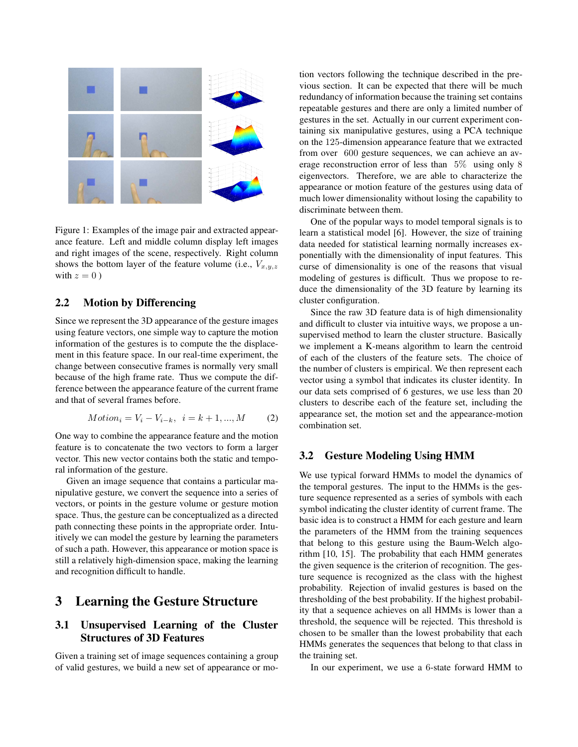

Figure 1: Examples of the image pair and extracted appearance feature. Left and middle column display left images and right images of the scene, respectively. Right column shows the bottom layer of the feature volume (i.e., *Vx,y,z* with  $z = 0$ )

### **2.2 Motion by Differencing**

Since we represent the 3D appearance of the gesture images using feature vectors, one simple way to capture the motion information of the gestures is to compute the the displacement in this feature space. In our real-time experiment, the change between consecutive frames is normally very small because of the high frame rate. Thus we compute the difference between the appearance feature of the current frame and that of several frames before.

$$
Motion_i = V_i - V_{i-k}, \ \ i = k+1, ..., M \tag{2}
$$

One way to combine the appearance feature and the motion feature is to concatenate the two vectors to form a larger vector. This new vector contains both the static and temporal information of the gesture.

Given an image sequence that contains a particular manipulative gesture, we convert the sequence into a series of vectors, or points in the gesture volume or gesture motion space. Thus, the gesture can be conceptualized as a directed path connecting these points in the appropriate order. Intuitively we can model the gesture by learning the parameters of such a path. However, this appearance or motion space is still a relatively high-dimension space, making the learning and recognition difficult to handle.

## **3 Learning the Gesture Structure**

### **3.1 Unsupervised Learning of the Cluster Structures of 3D Features**

Given a training set of image sequences containing a group of valid gestures, we build a new set of appearance or mo-

tion vectors following the technique described in the previous section. It can be expected that there will be much redundancy of information because the training set contains repeatable gestures and there are only a limited number of gestures in the set. Actually in our current experiment containing six manipulative gestures, using a PCA technique on the 125-dimension appearance feature that we extracted from over 600 gesture sequences, we can achieve an average reconstruction error of less than 5% using only 8 eigenvectors. Therefore, we are able to characterize the appearance or motion feature of the gestures using data of much lower dimensionality without losing the capability to discriminate between them.

One of the popular ways to model temporal signals is to learn a statistical model [6]. However, the size of training data needed for statistical learning normally increases exponentially with the dimensionality of input features. This curse of dimensionality is one of the reasons that visual modeling of gestures is difficult. Thus we propose to reduce the dimensionality of the 3D feature by learning its cluster configuration.

Since the raw 3D feature data is of high dimensionality and difficult to cluster via intuitive ways, we propose a unsupervised method to learn the cluster structure. Basically we implement a K-means algorithm to learn the centroid of each of the clusters of the feature sets. The choice of the number of clusters is empirical. We then represent each vector using a symbol that indicates its cluster identity. In our data sets comprised of 6 gestures, we use less than 20 clusters to describe each of the feature set, including the appearance set, the motion set and the appearance-motion combination set.

#### **3.2 Gesture Modeling Using HMM**

We use typical forward HMMs to model the dynamics of the temporal gestures. The input to the HMMs is the gesture sequence represented as a series of symbols with each symbol indicating the cluster identity of current frame. The basic idea is to construct a HMM for each gesture and learn the parameters of the HMM from the training sequences that belong to this gesture using the Baum-Welch algorithm [10, 15]. The probability that each HMM generates the given sequence is the criterion of recognition. The gesture sequence is recognized as the class with the highest probability. Rejection of invalid gestures is based on the thresholding of the best probability. If the highest probability that a sequence achieves on all HMMs is lower than a threshold, the sequence will be rejected. This threshold is chosen to be smaller than the lowest probability that each HMMs generates the sequences that belong to that class in the training set.

In our experiment, we use a 6-state forward HMM to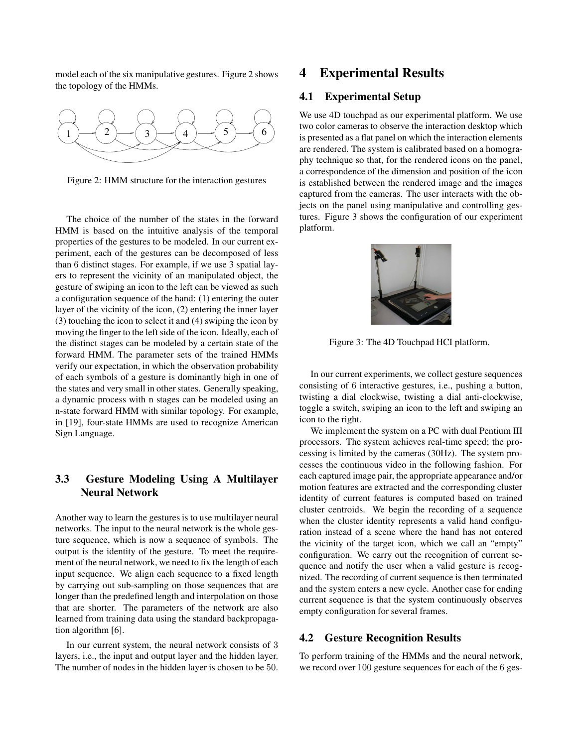model each of the six manipulative gestures. Figure 2 shows the topology of the HMMs.



Figure 2: HMM structure for the interaction gestures

The choice of the number of the states in the forward HMM is based on the intuitive analysis of the temporal properties of the gestures to be modeled. In our current experiment, each of the gestures can be decomposed of less than 6 distinct stages. For example, if we use 3 spatial layers to represent the vicinity of an manipulated object, the gesture of swiping an icon to the left can be viewed as such a configuration sequence of the hand: (1) entering the outer layer of the vicinity of the icon, (2) entering the inner layer (3) touching the icon to select it and (4) swiping the icon by moving the finger to the left side of the icon. Ideally, each of the distinct stages can be modeled by a certain state of the forward HMM. The parameter sets of the trained HMMs verify our expectation, in which the observation probability of each symbols of a gesture is dominantly high in one of the states and very small in other states. Generally speaking, a dynamic process with n stages can be modeled using an n-state forward HMM with similar topology. For example, in [19], four-state HMMs are used to recognize American Sign Language.

## **3.3 Gesture Modeling Using A Multilayer Neural Network**

Another way to learn the gestures is to use multilayer neural networks. The input to the neural network is the whole gesture sequence, which is now a sequence of symbols. The output is the identity of the gesture. To meet the requirement of the neural network, we need to fix the length of each input sequence. We align each sequence to a fixed length by carrying out sub-sampling on those sequences that are longer than the predefined length and interpolation on those that are shorter. The parameters of the network are also learned from training data using the standard backpropagation algorithm [6].

In our current system, the neural network consists of 3 layers, i.e., the input and output layer and the hidden layer. The number of nodes in the hidden layer is chosen to be 50.

### **4 Experimental Results**

#### **4.1 Experimental Setup**

We use 4D touchpad as our experimental platform. We use two color cameras to observe the interaction desktop which is presented as a flat panel on which the interaction elements are rendered. The system is calibrated based on a homography technique so that, for the rendered icons on the panel, a correspondence of the dimension and position of the icon is established between the rendered image and the images captured from the cameras. The user interacts with the objects on the panel using manipulative and controlling gestures. Figure 3 shows the configuration of our experiment platform.



Figure 3: The 4D Touchpad HCI platform.

In our current experiments, we collect gesture sequences consisting of 6 interactive gestures, i.e., pushing a button, twisting a dial clockwise, twisting a dial anti-clockwise, toggle a switch, swiping an icon to the left and swiping an icon to the right.

We implement the system on a PC with dual Pentium III processors. The system achieves real-time speed; the processing is limited by the cameras (30Hz). The system processes the continuous video in the following fashion. For each captured image pair, the appropriate appearance and/or motion features are extracted and the corresponding cluster identity of current features is computed based on trained cluster centroids. We begin the recording of a sequence when the cluster identity represents a valid hand configuration instead of a scene where the hand has not entered the vicinity of the target icon, which we call an "empty" configuration. We carry out the recognition of current sequence and notify the user when a valid gesture is recognized. The recording of current sequence is then terminated and the system enters a new cycle. Another case for ending current sequence is that the system continuously observes empty configuration for several frames.

#### **4.2 Gesture Recognition Results**

To perform training of the HMMs and the neural network, we record over 100 gesture sequences for each of the 6 ges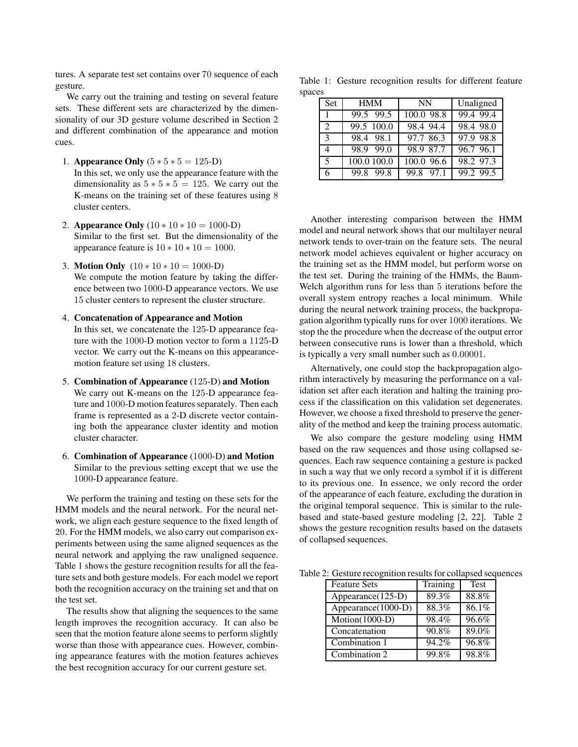tures. A separate test set contains over 70 sequence of each gesture.

We carry out the training and testing on several feature sets. These different sets are characterized by the dimensionality of our 3D gesture volume described in Section 2 and different combination of the appearance and motion cues.

- 1. **Appearance Only**  $(5 * 5 * 5 = 125-D)$ 
	- In this set, we only use the appearance feature with the dimensionality as  $5 * 5 * 5 = 125$ . We carry out the K-means on the training set of these features using 8 cluster centers.
- 2. **Appearance Only** (10 ∗ 10 ∗ 10 = 1000-D) Similar to the first set. But the dimensionality of the appearance feature is  $10 * 10 * 10 = 1000$ .
- 3. **Motion Only**  $(10 * 10 * 10 = 1000-D)$ 
	- We compute the motion feature by taking the difference between two 1000-D appearance vectors. We use 15 cluster centers to represent the cluster structure.
- 4. **Concatenation of Appearance and Motion** In this set, we concatenate the 125-D appearance feature with the 1000-D motion vector to form a 1125-D vector. We carry out the K-means on this appearancemotion feature set using 18 clusters.
- 5. **Combination of Appearance** (125-D) **and Motion** We carry out K-means on the 125-D appearance feature and 1000-D motion features separately. Then each frame is represented as a 2-D discrete vector containing both the appearance cluster identity and motion cluster character.
- 6. **Combination of Appearance** (1000-D) **and Motion** Similar to the previous setting except that we use the 1000-D appearance feature.

We perform the training and testing on these sets for the HMM models and the neural network. For the neural network, we align each gesture sequence to the fixed length of 20. For the HMM models, we also carry out comparison experiments between using the same aligned sequences as the neural network and applying the raw unaligned sequence. Table 1 shows the gesture recognition results for all the feature sets and both gesture models. For each model we report both the recognition accuracy on the training set and that on the test set.

The results show that aligning the sequences to the same length improves the recognition accuracy. It can also be seen that the motion feature alone seems to perform slightly worse than those with appearance cues. However, combining appearance features with the motion features achieves the best recognition accuracy for our current gesture set.

Table 1: Gesture recognition results for different feature spaces

| Set           | <b>HMM</b>  | <b>NN</b>  | Unaligned              |
|---------------|-------------|------------|------------------------|
|               | 99.5 99.5   | 100.0 98.8 | 99.4 99.4              |
|               | 99.5 100.0  | 98.4 94.4  | 98.4 98.0              |
| $\mathcal{R}$ | 98.4 98.1   | 97.7 86.3  | 97.9 98.8              |
|               | 98.9 99.0   | 98.9 87.7  | $\overline{96.7}$ 96.1 |
| .5            | 100.0 100.0 | 100.0 96.6 | 98.2 97.3              |
|               | 99.8 99.8   | 99.8 97.1  | 99.2 99.5              |

Another interesting comparison between the HMM model and neural network shows that our multilayer neural network tends to over-train on the feature sets. The neural network model achieves equivalent or higher accuracy on the training set as the HMM model, but perform worse on the test set. During the training of the HMMs, the Baum-Welch algorithm runs for less than 5 iterations before the overall system entropy reaches a local minimum. While during the neural network training process, the backpropagation algorithm typically runs for over 1000 iterations. We stop the the procedure when the decrease of the output error between consecutive runs is lower than a threshold, which is typically a very small number such as 0*.*00001.

Alternatively, one could stop the backpropagation algorithm interactively by measuring the performance on a validation set after each iteration and halting the training process if the classification on this validation set degenerates. However, we choose a fixed threshold to preserve the generality of the method and keep the training process automatic.

We also compare the gesture modeling using HMM based on the raw sequences and those using collapsed sequences. Each raw sequence containing a gesture is packed in such a way that we only record a symbol if it is different to its previous one. In essence, we only record the order of the appearance of each feature, excluding the duration in the original temporal sequence. This is similar to the rulebased and state-based gesture modeling [2, 22]. Table 2 shows the gesture recognition results based on the datasets of collapsed sequences.

Table 2: Gesture recognition results for collapsed sequences

| Ocstare recognition results for comapsea seq |          |             |  |
|----------------------------------------------|----------|-------------|--|
| <b>Feature Sets</b>                          | Training | <b>Test</b> |  |
| Appearance(125-D)                            | 89.3%    | 88.8%       |  |
| Appearance(1000-D)                           | 88.3%    | 86.1%       |  |
| $Motion(1000-D)$                             | 98.4%    | 96.6%       |  |
| Concatenation                                | 90.8%    | 89.0%       |  |
| Combination 1                                | 94.2%    | 96.8%       |  |
| Combination 2                                | 99.8%    | 98.8%       |  |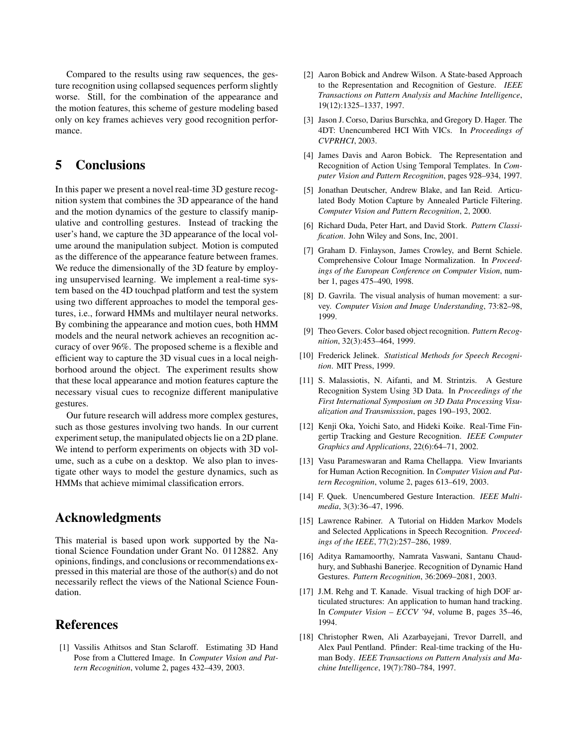Compared to the results using raw sequences, the gesture recognition using collapsed sequences perform slightly worse. Still, for the combination of the appearance and the motion features, this scheme of gesture modeling based only on key frames achieves very good recognition performance.

# **5 Conclusions**

In this paper we present a novel real-time 3D gesture recognition system that combines the 3D appearance of the hand and the motion dynamics of the gesture to classify manipulative and controlling gestures. Instead of tracking the user's hand, we capture the 3D appearance of the local volume around the manipulation subject. Motion is computed as the difference of the appearance feature between frames. We reduce the dimensionally of the 3D feature by employing unsupervised learning. We implement a real-time system based on the 4D touchpad platform and test the system using two different approaches to model the temporal gestures, i.e., forward HMMs and multilayer neural networks. By combining the appearance and motion cues, both HMM models and the neural network achieves an recognition accuracy of over 96%. The proposed scheme is a flexible and efficient way to capture the 3D visual cues in a local neighborhood around the object. The experiment results show that these local appearance and motion features capture the necessary visual cues to recognize different manipulative gestures.

Our future research will address more complex gestures, such as those gestures involving two hands. In our current experiment setup, the manipulated objects lie on a 2D plane. We intend to perform experiments on objects with 3D volume, such as a cube on a desktop. We also plan to investigate other ways to model the gesture dynamics, such as HMMs that achieve mimimal classification errors.

# **Acknowledgments**

This material is based upon work supported by the National Science Foundation under Grant No. 0112882. Any opinions, findings, and conclusions or recommendations expressed in this material are those of the author(s) and do not necessarily reflect the views of the National Science Foundation.

### **References**

[1] Vassilis Athitsos and Stan Sclaroff. Estimating 3D Hand Pose from a Cluttered Image. In *Computer Vision and Pattern Recognition*, volume 2, pages 432–439, 2003.

- [2] Aaron Bobick and Andrew Wilson. A State-based Approach to the Representation and Recognition of Gesture. *IEEE Transactions on Pattern Analysis and Machine Intelligence*, 19(12):1325–1337, 1997.
- [3] Jason J. Corso, Darius Burschka, and Gregory D. Hager. The 4DT: Unencumbered HCI With VICs. In *Proceedings of CVPRHCI*, 2003.
- [4] James Davis and Aaron Bobick. The Representation and Recognition of Action Using Temporal Templates. In *Computer Vision and Pattern Recognition*, pages 928–934, 1997.
- [5] Jonathan Deutscher, Andrew Blake, and Ian Reid. Articulated Body Motion Capture by Annealed Particle Filtering. *Computer Vision and Pattern Recognition*, 2, 2000.
- [6] Richard Duda, Peter Hart, and David Stork. *Pattern Classification*. John Wiley and Sons, Inc, 2001.
- [7] Graham D. Finlayson, James Crowley, and Bernt Schiele. Comprehensive Colour Image Normalization. In *Proceedings of the European Conference on Computer Vision*, number 1, pages 475–490, 1998.
- [8] D. Gavrila. The visual analysis of human movement: a survey. *Computer Vision and Image Understanding*, 73:82–98, 1999.
- [9] Theo Gevers. Color based object recognition. *Pattern Recognition*, 32(3):453–464, 1999.
- [10] Frederick Jelinek. Statistical Methods for Speech Recogni*tion*. MIT Press, 1999.
- [11] S. Malassiotis, N. Aifanti, and M. Strintzis. A Gesture Recognition System Using 3D Data. In *Proceedings of the First International Symposium on 3D Data Processing Visualization and Transmisssion*, pages 190–193, 2002.
- [12] Kenji Oka, Yoichi Sato, and Hideki Koike. Real-Time Fingertip Tracking and Gesture Recognition. *IEEE Computer Graphics and Applications*, 22(6):64–71, 2002.
- [13] Vasu Parameswaran and Rama Chellappa. View Invariants for Human Action Recognition. In *Computer Vision and Pattern Recognition*, volume 2, pages 613–619, 2003.
- [14] F. Quek. Unencumbered Gesture Interaction. *IEEE Multimedia*, 3(3):36–47, 1996.
- [15] Lawrence Rabiner. A Tutorial on Hidden Markov Models and Selected Applications in Speech Recognition. *Proceedings of the IEEE*, 77(2):257–286, 1989.
- [16] Aditya Ramamoorthy, Namrata Vaswani, Santanu Chaudhury, and Subhashi Banerjee. Recognition of Dynamic Hand Gestures. *Pattern Recognition*, 36:2069–2081, 2003.
- [17] J.M. Rehg and T. Kanade. Visual tracking of high DOF articulated structures: An application to human hand tracking. In *Computer Vision – ECCV '94*, volume B, pages 35–46, 1994.
- [18] Christopher Rwen, Ali Azarbayejani, Trevor Darrell, and Alex Paul Pentland. Pfinder: Real-time tracking of the Human Body. *IEEE Transactions on Pattern Analysis and Machine Intelligence*, 19(7):780–784, 1997.